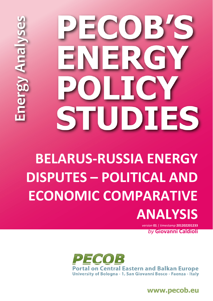# ECOB'S VERGY OLICY STUDIES

nergy Analyse

## **BELARUS-RUSSIA ENERGY DISPUTES – POLITICAL AND ECONOMIC COMPARATIVE ANALYSIS**

*version* **01** *| timestamp* **201202201233** *by* **Giovanni Caldioli**



www.pecob.eu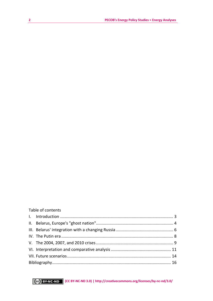| Table of contents |  |
|-------------------|--|
|-------------------|--|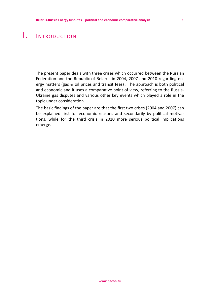#### <span id="page-2-0"></span>I. INTRODUCTION

The present paper deals with three crises which occurred between the Russian Federation and the Republic of Belarus in 2004, 2007 and 2010 regarding energy matters (gas & oil prices and transit fees) . The approach is both political and economic and it uses a comparative point of view, referring to the Russia-Ukraine gas disputes and various other key events which played a role in the topic under consideration.

The basic findings of the paper are that the first two crises (2004 and 2007) can be explained first for economic reasons and secondarily by political motivations, while for the third crisis in 2010 more serious political implications emerge.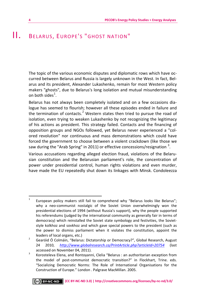#### <span id="page-3-0"></span>II. BELARUS, EUROPE'S "GHOST NATION"

The topic of the various economic disputes and diplomatic rows which have occurred between Belarus and Russia is largely unknown in the West. In fact, Belarus and its president, Alexander Lukashenko, remain for most Western policy makers "ghosts", due to Belarus's long isolation and mutual misunderstanding on both sides $^1$  $^1$ .

Belarus has not always been completely isolated and on a few occasions dialogue has seemed to flourish; however all these episodes ended in failure and the termination of contacts.<sup>[2](#page-3-2)</sup> Western states then tried to pursue the road of isolation, even trying to weaken Lukashenko by not recognizing the legitimacy of his actions as president. This strategy failed. Contacts and the financing of opposition groups and NGOs followed, yet Belarus never experienced a "colored revolution" nor continuous and mass demonstrations which could have forced the government to choose between a violent crackdown (like those we saw during the "Arab Spring" in 2011) or effective concessions/resignation  $^3$  $^3$ .

Various accusations regarding alleged election fraud, violations of the Belarusian constitution and the Belarusian parliament's role, the concentration of power under presidential control, human rights violations and even murder, have made the EU repeatedly shut down its linkages with Minsk. Condoleezza

<span id="page-3-1"></span> $\frac{1}{1}$  European policy makers still fail to comprehend why "Belarus looks like Belarus"; why a neo-communist nostalgic of the Soviet Union overwhelmingly won the presidential elections of 1994 (without Russia's support), why the people supported his referendums (judged by the international community as generally fair in terms of democracy) which reinstalled the Soviet state symbology and festivities, the Sovietstyle kolkhoz and sovkhoz and which gave special powers to the president (such as the power to dismiss parliament when it violates the constitution, appoint the leaders of local organs, etc.) 2

<span id="page-3-2"></span>Gearóid Ó Colmáin, "Belarus: Dictatorship or Democracy?", Global Research, August 24 2010, *http://www.globalresearch.ca/PrintArticle.php?articleId=20754* (last  $accessed on November 04, 2011.$ <sup>3</sup>

<span id="page-3-3"></span>Korosteleva Elena, and Rontoyanni, Clelia "Belarus : an authoritarian exception from the model of post-communist democratic transition?" in Flockhart, Trine. eds. "Socializing Democratic Norms: The Role of International Organisations for the Construction of Europe." London . Palgrave MacMillan. 2005.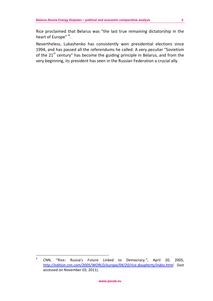Rice proclaimed that Belarus was "the last true remaining dictatorship in the heart of Europe"<sup>[4](#page-4-0)</sup>.

Nevertheless, Lukashenko has consistently won presidential elections since 1994, and has passed all the referendums he called. A very peculiar "Sovietism of the  $21<sup>st</sup>$  century" has become the guiding principle in Belarus, and from the very beginning, its president has seen in the Russian Federation a crucial ally.

<span id="page-4-0"></span><sup>-&</sup>lt;br>4 CNN, "Rice: Russia's Future Linked to Democracy.", April 20, 2005, *http://edition.cnn.com/2005/WORLD/europe/04/20/rice.dougherty/index.html* (last accessed on November 03, 2011).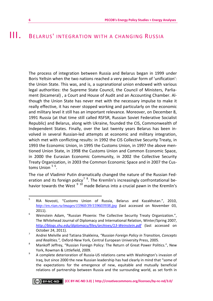#### <span id="page-5-0"></span>III. BELARUS' INTEGRATION WITH A CHANGING RUSSIA

The process of integration between Russia and Belarus began in 1999 under Boris Yeltsin when the two nations reached a very peculiar form of 'unification': the Union State. This was, and is, a supranational union endowed with various legal authorities: the Supreme State Council, the Council of Ministers, Parliament (bicameral) , a Court and House of Audit and an Accounting Chamber. Although the Union State has never met with the necessary impulse to make it really effective, it has never stopped working and particularly on the economic and military level it still has an important relevance. Moreover, on December 8, 1991 Russia (at that time still called RSFSR, Russian Soviet Federative Socialist Republic) and Belarus, along with Ukraine, founded the CIS, Commonwealth of Independent States. Finally, over the last twenty years Belarus has been involved in several Russian-led attempts at economic and military integration, which met with conflicting results: in 1992 the CIS Collective Security Treaty, in 1993 the Economic Union, in 1995 the Customs Union, in 1997 the above mentioned Union State, in 1998 the Customs Union and Common Economic Space, in 2000 the Eurasian Economic Community, in 2002 the Collective Security Treaty Organization, in 2003 the Common Economic Space and in 2007 the Cus-toms Union <sup>[5](#page-5-1) [6](#page-5-2)</sup>.

<span id="page-5-6"></span>The rise of Vladimir Putin dramatically changed the nature of the Russian Fed-eration and its foreign policy<sup>[7](#page-5-3)</sup> <sup>[8](#page-5-4)</sup>. The Kremlin's increasingly confrontational behavior towards the West  $910$  $910$  made Belarus into a crucial pawn in the Kremlin's

<span id="page-5-1"></span><sup>-&</sup>lt;br>5 RIA Novosti, "Customs Union of Russia, Belarus and Kazakhstan.", 2010, *http://en.rian.ru/images/15960/39/159603938.jpg* (last accessed on November 03,  $2011$ ).

<span id="page-5-2"></span>Weinstein Adam, "Russian Phoenix: The Collective Security Treaty Organization.", The Whitehead Journal of Diplomacy and International Relation, Winter/Spring 2007, *http://blogs.shu.edu/diplomacy/files/archives/13-Weinstein.pdf* (last accessed on October 24, 2011).

<span id="page-5-3"></span>Andrei Melville and Tatiana Shakleina, *"Russian Foreign Policy in Transition, Concepts*  and Realities.", Oxford-New York, Central European University Press, 2005.

<span id="page-5-4"></span>Mankoff Jeffrey, "Russian Foreign Policy: The Return of Great Power Politics.", New York, Rowman & Littlefield, 2009.

<span id="page-5-5"></span>A complete deterioration of Russia-US relations came with Washington's invasion of Iraq, but since 2000 the new Russian leadership has had clearly in mind that "some of the expectations for the emergence of new, equitable and mutually beneficial relations of partnership between Russia and the surrounding world, as set forth in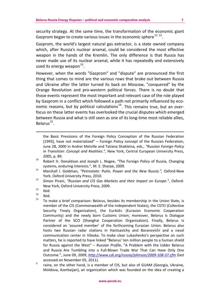security strategy. At the same time, the transformation of the economic giant Gazprom began to create various issues in the economic sphere<sup>[11](#page-6-0) [12](#page-6-1)</sup>.

Gazprom, the world's largest natural gas extractor, is a state owned company which, after Russia's nuclear arsenal, could be considered the most effective weapon in the hands of the Kremlin. The only difference is that Russia has never made use of its nuclear arsenal, while it has repeatedly and extensively used its energy weapon  $13$ .

However, when the words "Gazprom" and "dispute" are pronounced the first thing that comes to mind are the various rows that broke out between Russia and Ukraine after the latter turned its back on Moscow, "conquered" by the Orange Revolution and pro-western political forces. There is no doubt that those events represent the most important and relevant case of the role played by Gazprom in a conflict which followed a path not primarily influenced by economic reasons, but by political calculations<sup>14</sup>. This remains true, but an overfocus on these latter events has overlooked the crucial disputes which emerged between Russia and what is still seen as one of its long-time most reliable allies,  $B$ elarus $^{15}$ .

the Basic Previsions of the Foreign Policy Conception of the Russian Federation [1993], have not materialized" – Foreign Policy concept of the Russian Federation, June 28, 2000 in Andrei Melville and Tatiana Shakleina, eds., *"Russian Foreign Policy in Transition: Concept and Realities.",* New York, Central European University Press, 2005, p. 89. 10 Robert H. Donaldson and Joseph L. Nogee, "The Foreign Policy of Russia, Changing

 $\overline{a}$ 

systems, enduring interests.", M. E. Sharpe, 2009. 11 Marshall I. Goldman, *"Petrostate: Putin, Power and the New Russia.",* Oxford-New

<span id="page-6-0"></span>York. Oxford University Press, 2010. 12 Simon Pirani, *"Russian and CIS Gas Markets and their Impact on Europe."*, Oxford-

<span id="page-6-1"></span>New York, Oxford University Press, 2009.<br>
13 Ibid.<br>
14 Ibid.

<span id="page-6-2"></span> $\frac{14}{15}$  Ibid.

<span id="page-6-4"></span><span id="page-6-3"></span><sup>15</sup> To make a brief comparison: Belarus, besides its membership in the Union State, is member of the CIS (Commonwealth of the Independent States), the CSTO (Collective Security Treaty Organization), the EurAsEc (Eurasian Economic Cooperation Community) and the newly born Customs Union; moreover, Belarus is Dialogue Partner of the SCO (Shanghai Cooperation Organization). Finally, Belarus is considered an 'assured member' of the forthcoming Eurasian Union. Belarus also hosts two Russian radar stations in Hantsavichy and Baranovichi and a naval communication center in Vileyka. To make clear Lukashenko's perspective on such matters, he is reported to have linked "Belarus' ten million people to a human shield for Russia against the West" – *Russian Profile*, "A Problem with the Udder Belarus and Russia Are Tumbling into a Full-Blown Trade War That Can Have Only One Outcome.", June 09, 2009, *http://www.cdi.org/russia/johnson/2009-108-37.cfm* (last accessed on November 05, 2011). U

raine, on the other hand, is a member of CIS, but also of GUAM (Georgia, Ukraine, Moldova, Azerbaijan), an organization which was founded on the idea of creating a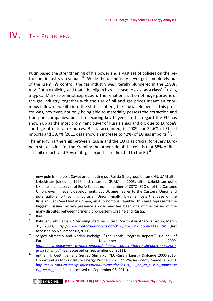#### <span id="page-7-0"></span>IV. THE PUTIN FRA

Putin based the strengthening of his power and a vast set of policies on the pe-troleum industry's revenues<sup>[16](#page-7-1)</sup>. While the oil industry never got completely out of the Kremlin's control, the gas industry was literally plundered in the 1990s; V. V. Putin explicitly said that "the oligarchs will cease to exist as a class" $^{17}$  $^{17}$  $^{17}$  using a typical Marxist-Leninist expression. The renationalization of huge portions of the gas industry, together with the rise of oil and gas prices meant an enormous inflow of wealth into the state's coffers; the crucial element in this process was, however, not only being able to materially possess the extraction and transport companies, but also securing key buyers. In this regard the EU has shown up as the most prominent buyer of Russia's gas and oil: due to Europe's shortage of natural resources, Russia accounted, in 2009, for 32.6% of EU oil imports and 38.7% (2011 data show an increase to 42%) of EU gas imports  $^{18}$ .

The energy partnership between Russia and the EU is as crucial for every European state as it is for the Kremlin: the other side of the coin is that 88% of Russia's oil exports and 70% of its gas exports are directed to the  $EU^{19}$  $EU^{19}$  $EU^{19}$ .

new pole in the post-Soviet area, leaving out Russia (the group became GUUAM after Uzbekistan joined in 1999 and returned GUAM in 2005, after Uzbekistan quit). Ukraine is an observer of EurAsEc, but not a member of CSTO, SCO or of the Customs Union, even if recent developments put Ukraine nearer to the Customs Union and potentially a forthcoming Eurasian Union. Finally, Ukraine hosts the base of the Russian Black Sea Fleet in Crimea, an Autonomous Republic; this base represents the biggest Russian military presence abroad and has been one of the causes of the many disputes between formerly pro-western Ukraine and Russia.<br><sup>16</sup> Ibid.

 $\overline{a}$ 

- <span id="page-7-2"></span><span id="page-7-1"></span>Bahukutumbi Raman, "Decoding Vladimir Putin.", South Asia Analysis Group, March 31, 2000, *http://www.southasiaanalysis.org/%5Cpapers2%5Cpaper112.htm* (last accessed on November 03,2011). 18 Sergey Shmatko and Andris Piebalgs, "The Tenth Progress Report.", Council of
- <span id="page-7-3"></span>Europe, November. 2009, *http://ec.europa.eu/energy/international/bilateral\_cooperation/russia/doc/reports/pro gress10\_en.pdf* (last accessed on September 05, 2011). 19 unther H. Oettinger and Sergey Shmatko, "EU-Russia Energy Dialogue 2000-2010:
- <span id="page-7-4"></span>Opportunities for our future Energy Partnership.", *EU-Russia Energy Dialogue*, 2010. *http://ec.europa.eu/energy/international/events/doc/2010\_11\_22\_eu\_russia\_anniversa ry\_report\_en.pdf* (last accessed on September 06, 2011).

**(CC BY-NC-ND 3.0) | http://creativecommons.org/licenses/by-nc-nd/3.0/**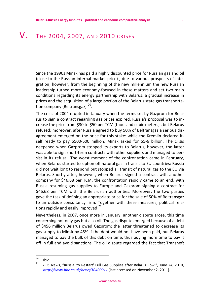#### <span id="page-8-0"></span>**V.** THE 2004, 2007, AND 2010 CRISES

Since the 1990s Minsk has paid a highly discounted price for Russian gas and oil (close to the Russian internal market price) , due to various prospects of integration; however, from the beginning of the new millennium the new Russian leadership turned more economy-focused in these matters and set two main conditions regarding its energy partnership with Belarus: a gradual increase in prices and the acquisition of a large portion of the Belarus state gas transportation company (Beltransgaz)<sup>20</sup>.

The crisis of 2004 erupted in January when the terms set by Gazprom for Belarus to sign a contract regarding gas prices expired. Russia's proposal was to increase the price from \$30 to \$50 per TCM (thousand cubic meters) , but Belarus refused; moreover, after Russia agreed to buy 50% of Beltransgaz a serious disagreement emerged on the price for this stake: while the Kremlin declared itself ready to pay \$500-600 million, Minsk asked for \$5-6 billion. The crisis deepened when Gazprom stopped its exports to Belarus; however, the latter was able to sign short-term contracts with other suppliers and managed to persist in its refusal. The worst moment of the confrontation came in February, when Belarus started to siphon off natural gas in transit to EU countries: Russia did not wait long to respond but stopped all transit of natural gas to the EU via Belarus. Shortly after, however, when Belarus signed a contract with another company for \$46.68 per TCM, the confrontation rapidly came to an end, with Russia resuming gas supplies to Europe and Gazprom signing a contract for \$46.68 per TCM with the Belarusian authorities. Moreover, the two parties gave the task of defining an appropriate price for the sale of 50% of Beltransgaz to an outside consultancy firm. Together with these measures, political relations rapidly and easily improved  $21$ .

Nevertheless, in 2007, once more in January, another dispute arose, this time concerning not only gas but also oil. The gas dispute emerged because of a debt of \$456 million Belarus owed Gazprom: the latter threatened to decrease its gas supply to Minsk by 45% if the debt would not have been paid, but Belarus managed to pay the bulk of this debt on time, thus buying more time to pay it off in full and avoid sanctions. The oil dispute regarded the fact that Transneft

<span id="page-8-2"></span><span id="page-8-1"></span><sup>20</sup>  $\frac{20}{21}$  Ibid.

<sup>21</sup> *BBC News*, "Russia 'to Restart' Full Gas Supplies after Belarus Row.", June 24, 2010, *http://www.bbc.co.uk/news/10400911* (last accessed on November 2, 2011).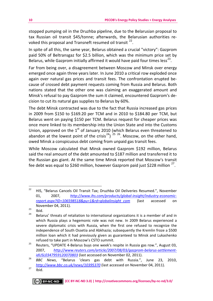stopped pumping oil in the Druzhba pipeline, due to the Belarusian proposal to tax Russian oil transit \$45/tonne; afterwards, the Belarusian authorities revoked this proposal and Transneft resumed oil transit  $^{22}$ .

In spite of all this, the same year, Belarus obtained a crucial "victory": Gazprom paid 50% of Beltransgaz for \$2.5 billion, which was the minimum price set by Belarus, while Gazprom initially affirmed it would have paid four times less<sup>[23](#page-9-1)</sup>.

Far from being over, a disagreement between Moscow and Minsk over energy emerged once again three years later. In June 2010 a critical row exploded once again over natural gas prices and transit fees. The confrontation erupted because of crossed debt payment requests coming from Russia and Belarus. Both nations stated that the other one was claiming an exaggerated amount and Minsk's refusal to pay Gazprom the sum it claimed, encountered Gazprom's decision to cut its natural gas supplies to Belarus by 60%.

The debt Minsk contracted was due to the fact that Russia increased gas prices in 2009 from \$150 to \$169.20 per TCM and in 2010 to \$184.80 per TCM, but Belarus went on paying \$150 per TCM. Belarus request for cheaper prices was once more linked to its membership into the Union State and into the Customs Union, approved on the  $1<sup>st</sup>$  of January 2010 (which Belarus even threatened to abandon at the lowest point of the crisis<sup>24</sup>)<sup>[25](#page-9-3)-[26](#page-9-4)</sup>. Moscow, on the other hand, owed Minsk a conspicuous debt coming from unpaid gas transit fees.

While Moscow calculated that Minsk owned Gazprom \$192 million, Belarus said the real amount of the debt amounted to \$187 million and transferred it to the Russian gas giant. At the same time Minsk reported that Moscow's transit fee debt was equal to \$260 million, however Gazprom paid just \$228 million  $^{27}$ .

<span id="page-9-0"></span> $22$ 22 HIS, "Belarus Cancels Oil Transit Tax; Druzhba Oil Deliveries Resumed.", November 01, 2007, *http://www.ihs.com/products/global-insight/industry-economicreport.aspx?ID=106598518&pu=1&rd=globalinsight\_com* (last accessed on November 04, 2011).<br>
<sup>23</sup> Ibid.

<span id="page-9-1"></span>

<span id="page-9-2"></span>Belarus' threats of retaliation to international organizations it is a member of and in which Russia plays a hegemonic role was not new. In 2009 Belarus experienced a severe diplomatic crisis with Russia, when the first one refused to recognize the independence of South Ossetia and Abkhazia; subsequently the Kremlin froze a \$500 million loan which it had previously given as guaranteed to Minsk and Lukashenko

<span id="page-9-3"></span>refused to take part in Moscow's CSTO summit. 25 Reuters, "UPDATE 4-Belarus buys one week's respite in Russia gas row.", August 03, 2007, *http://www.reuters.com/article/2007/08/03/gazprom-belarus-settlementidUSL0347959120070803* (last accessed on November 02, 2011). 26 *BBC News*, "Belarus 'clears gas debt with Russia.", June 23, 2010,

<span id="page-9-4"></span>*http://www.bbc.co.uk/news/10395370* (last accessed on November 04, 2011). 27 Ibid.

<span id="page-9-5"></span>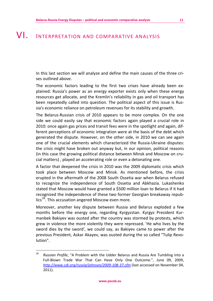### <span id="page-10-0"></span>VI. INTERPRETATION AND COMPARATIVE ANALYSIS

In this last section we will analyze and define the main causes of the three crises outlined above.

The economic factors leading to the first two crises have already been explained: Russia's power as an energy exporter exists only when these energy resources get allocate, and the Kremlin's reliability in gas and oil transport has been repeatedly called into question. The political aspect of this issue is Russia's economic reliance on petroleum revenues for its stability and growth.

The Belarus-Russian crisis of 2010 appears to be more complex. On the one side we could easily say that economic factors again played a crucial role in 2010: once again gas prices and transit fees were in the spotlight and again, different perceptions of economic integration were at the basis of the debt which generated the dispute. However, on the other side, in 2010 we can see again one of the crucial elements which characterized the Russia-Ukraine disputes: the crisis might have broken out anyway but, in our opinion, political reasons (in this case the growing political distance between Minsk and Moscow on crucial matters) , played an accelerating role or even a detonating one.

A factor that deepened the crisis in 2010 was the 2009 diplomatic crisis which took place between Moscow and Minsk. As mentioned before, the crisis erupted in the aftermath of the 2008 South Ossetia war when Belarus refused to recognize the independence of South Ossetia and Abkhazia. Lukashenko stated that Moscow would have granted a \$500 million loan to Belarus if it had recognized the independence of these two former Georgian breakaway repub $lics<sup>28</sup>$ . This accusation angered Moscow even more.

Moreover, another key dispute between Russia and Belarus exploded a few months before the energy one, regarding Kyrgyzstan. Kyrgyz President Kurmanbek Bakiyev was ousted after the country was stormed by protests, which grew in violence the more violently they were repressed. 'He who lives by the sword dies by the sword', we could say, as Bakiyev came to power after the previous President, Askar Akayev, was ousted during the so called "Tulip Revolution".

<span id="page-10-1"></span> $28$ <sup>28</sup> *Russian Profile*, "A Problem with the Udder Belarus and Russia Are Tumbling into a Full-Blown Trade War That Can Have Only One Outcome.", June 09, 2009, *http://www.cdi.org/russia/johnson/2009-108-37.cfm* (last accessed on November 04, 2011).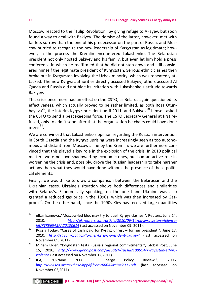Moscow reacted to the "Tulip Revolution" by giving refuge to Akayev, but soon found a way to deal with Bakiyev. The demise of the latter, however, met with far less sorrow than the one of his predecessor on the part of Russia, and Moscow hurried to recognize the new leadership of Kyrgyzstan as legitimate; however, in the process the Kremlin encountered Lukashenko. The Belarusian president not only hosted Bakiyev and his family, but even let him hold a press conference in which he reaffirmed that he did not step down and still considered himself the legitimate president of Kyrgyzstan. Serious ethnic clashes then broke out in Kyrgyzstan involving the Uzbek minority, which was repeatedly attacked. The new Kyrgyz authorities directly accused Bakiyev, others accused Al Qaeda and Russia did not hide its irritation with Lukashenko's attitude towards Bakiyev.

This crisis once more had an effect on the CSTO, as Belarus again questioned its effectiveness, which actually proved to be rather limited, as both Roza Otun-bayeva<sup>[29](#page-11-0)</sup>, the interim Kyrgyz president until 2011, and Bakiyev<sup>30</sup> himself asked the CSTO to send a peacekeeping force. The CSTO Secretary General at first refused, only to admit soon after that the organization he chairs could have done more  $31$ .

We are convinced that Lukashenko's opinion regarding the Russian intervention in South Ossetia and the Kyrgyz uprising were increasingly seen as too autonomous and distant from Moscow's line by the Kremlin; we are furthermore convinced that this played a key role in the explosion of the crisis. In 2010 political matters were not overshadowed by economic ones, but had an active role in worsening the crisis and, possibly, drove the Russian leadership to take harsher actions than what they would have done without the presence of these political elements.

Finally, we would like to draw a comparison between the Belarusian and the Ukrainian cases. Ukraine's situation shows both differences and similarities with Belarus's. Economically speaking, on the one hand Ukraine was also granted a reduced gas price in the 1990s, which was then increased by Gaz-prom<sup>[32](#page-11-3)</sup>. On the other hand, since the 1990s Kiev has received large quantities

<span id="page-11-0"></span><sup>29</sup> ulkar Isamova., "Moscow-led bloc may try to quell Kyrgyz clashes.", Reuters, June 14, 2010, *http://uk.reuters.com/article/2010/06/14/uk-kyrgyzstan-violence-*

<span id="page-11-1"></span>*idUKTRE65A5PA20100614* (last accessed on November 09, 2011). 30 Russia Today, "Cases of cash paid for Kyrgyz unrest – former president.", June 17, 2010, *http://rt.com/politics/former-kyrgyz-president-akayev/* (last accessed on

<span id="page-11-2"></span>November 09, 2011). 31 Miriam Elder, "Kyrgyzstan tests Russia's regional commitments.", Global Post, June 15, 2010, *http://www.globalpost.com/dispatch/russia/100614/kyrgyzstan-ethnic-*

<span id="page-11-3"></span>*violence* (last accessed on November 12,2011). 32 IEA, "Ukraine 2006 – Energy Policy Review.", 2006, *http://www.iea.org/textbase/nppdf/free/2006/ukraine2006.pdf* (last accessed on November 03,2011).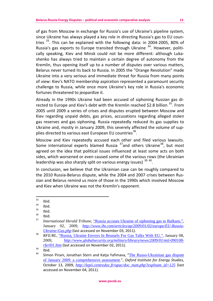of gas from Moscow in exchange for Russia's use of Ukraine's pipeline system, since Ukraine has always played a key role in directing Russia's gas to EU coun-tries<sup>[33](#page-12-0)</sup>. This can be explained with the following data: in 2004-2005, 80% of Russia's gas exports to Europe transited through Ukraine [34](#page-12-1). However, politically speaking, Kiev and Minsk could not be more different: although Lukashenko has always tried to maintain a certain degree of autonomy from the Kremlin, thus opening itself up to a number of disputes over various matters, Belarus never turned its back to Russia. In 2005 the "Orange Revolution" made Ukraine into a very serious and immediate threat for Russia from many points of view: Kiev's NATO membership aspiration represented a paramount security challenge to Russia, while once more Ukraine's key role in Russia's economic fortunes threatened to jeopardize it.

Already in the 1990s Ukraine had been accused of siphoning Russian gas directed to Europe and Kiev's debt with the Kremlin reached \$2.8 billion  $35$ . From 2005 until 2009 a series of crises and disputes erupted between Moscow and Kiev regarding unpaid debts, gas prices, accusations regarding alleged stolen gas reserves and gas siphoning. Russia repeatedly reduced its gas supplies to Ukraine and, mostly in January 2009, this severely affected the volume of sup-plies directed to various east European EU countries<sup>[36](#page-12-3)</sup>.

Moscow and Kiev repeatedly accused each other and filed various lawsuits. Some international experts blamed Russia  $37$  and others Ukraine  $38$ , but most agreed on the idea that political issues influenced at least some acts on both sides, which worsened or even caused some of the various rows (the Ukrainian leadership was also sharply split on various energy issues)  $39\frac{40}{1}$  $39\frac{40}{1}$  $39\frac{40}{1}$  $39\frac{40}{1}$ .

In conclusion, we believe that the Ukrainian case can be roughly compared to the 2010 Russia-Belarus dispute, while the 2004 and 2007 crises between Russian and Belarus remind us more of those in the 1990s which involved Moscow and Kiev when Ukraine was not the Kremlin's opponent.

<span id="page-12-0"></span> $33$ 

 $\frac{33}{34}$  Ibid.  $\frac{34}{35}$  Ibid.

<span id="page-12-2"></span><span id="page-12-1"></span> $\frac{35}{36}$  Ibid.

<span id="page-12-3"></span> $\frac{36}{37}$  Ibid.

<span id="page-12-4"></span><sup>37</sup> *International Herald Tribune,* "Russia accuses Ukraine of siphoning gas to Balkans.", January 02, 2009, *http://www.iht.com/articles/ap/2009/01/02/europe/EU-Russia-*

<span id="page-12-5"></span>*Ukraine-Gas.php* (last accessed on November 03, 2011). 38 *RFE/RL*, "Russia, Ukraine Envoys In Brussels For Gas Talks With EU.", January 08, 2009, *http://www.globalsecurity.org/military/library/news/2009/01/mil-090108 rferl01.htm* (last accessed on November 02, 2011).<br> **bid.** 

<span id="page-12-7"></span><span id="page-12-6"></span>

Simon Pirani, Jonathan Stern and Katja Yafimava, "The Russo-Ukrainian gas dispute of January 2009: a comprehensive assessment.", *Oxford Institute for Energy Studies,* October 13, 2009, *http://lepii.centredoc.fr/opac/doc\_num.php?explnum\_id=125* (last accessed on November 04, 2011).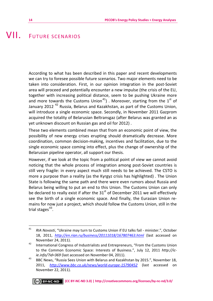#### <span id="page-13-0"></span>VII. FUTURE SCENARIOS

According to what has been described in this paper and recent developments we can try to foresee possible future scenarios. Two major elements need to be taken into consideration. First, in our opinion integration in the post-Soviet area will proceed and potentially encounter a new impulse (the crisis of the EU, together with increasing political distance, seem to be pushing Ukraine more and more towards the Customs Union<sup>[41](#page-13-1)</sup>). Moreover, starting from the 1<sup>st</sup> of January 2012<sup>42</sup> Russia, Belarus and Kazakhstan, as part of the Customs Union, will introduce a single economic space. Secondly, in November 2011 Gazprom acquired the totality of Belarusian Beltransgaz (after Belarus was granted an as yet unknown discount on Russian gas and oil for 2012) .

These two elements combined mean that from an economic point of view, the possibility of new energy crises erupting should dramatically decrease. More coordination, common decision-making, incentives and facilitation, due to the single economic space coming into effect, plus the change of ownership of the Belarusian pipeline operator, all support our thesis.

However, if we look at the topic from a political point of view we cannot avoid noticing that the whole process of integration among post-Soviet countries is still very fragile: in every aspect much still needs to be achieved. The CSTO is more a purpose than a reality (as the Kyrgyz crisis has highlighted) . The Union State is following the same path and there were even rumors about Russia and Belarus being willing to put an end to this Union. The Customs Union can only be declared to really exist if after the  $31<sup>st</sup>$  of December 2011 we will effectively see the birth of a single economic space. And finally, the Eurasian Union remains for now just a project, which should follow the Customs Union, still in the trial stages $43$ .

<span id="page-13-1"></span><sup>41</sup> <sup>41</sup> *RIA Novosti*, "Ukraine may turn to Customs Union if EU talks fail - minister.", October 18, 2011, *http://en.rian.ru/business/20111018/167807463.html* (last accessed on November 24, 2011).<br><sup>42</sup> International Congress of Industrialists and Entrepreneurs, "From the Customs Union

<span id="page-13-2"></span>to the Common Economic Space: Interests of Business.", July 12, 2011 *http://icie.info/?id=369* (last accessed on November 04, 2011).<br>43 BBC News, "Russia Sees Union with Belarus and Kazakhstan by 2015.", November 18,

<span id="page-13-3"></span><sup>2011,</sup> *http://www.bbc.co.uk/news/world-europe-15790452* (last accessed on November 22, 2011).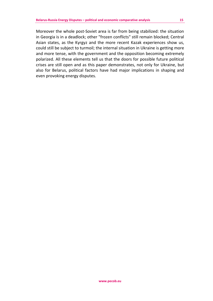Moreover the whole post-Soviet area is far from being stabilized: the situation in Georgia is in a deadlock; other "frozen conflicts" still remain blocked; Central Asian states, as the Kyrgyz and the more recent Kazak experiences show us, could still be subject to turmoil; the internal situation in Ukraine is getting more and more tense, with the government and the opposition becoming extremely polarized. All these elements tell us that the doors for possible future political crises are still open and as this paper demonstrates, not only for Ukraine, but also for Belarus, political factors have had major implications in shaping and even provoking energy disputes.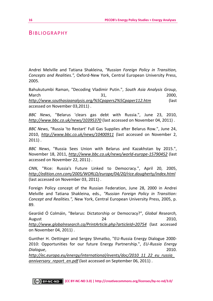#### <span id="page-15-0"></span>**BIBLIOGRAPHY**

Andrei Melville and Tatiana Shakleina, *"Russian Foreign Policy in Transition, Concepts and Realities.",* Oxford-New York, Central European University Press, 2005.

Bahukutumbi Raman, "Decoding Vladimir Putin.", *South Asia Analysis Group*, March 2000, 2000, 2000, 2000, 2000, 2000, 2000, 2000, 2000, 2000, 2000, 2000, 2000, 2000, 2000, 2000, 2000, 20 *http://www.southasiaanalysis.org/%5Cpapers2%5Cpaper112.htm* (last accessed on November 03,2011) .

*BBC News*, "Belarus 'clears gas debt with Russia.", June 23, 2010, *http://www.bbc.co.uk/news/10395370* (last accessed on November 04, 2011) .

*BBC News*, "Russia 'to Restart' Full Gas Supplies after Belarus Row.", June 24, 2010, *http://www.bbc.co.uk/news/10400911* (last accessed on November 2,  $2011$ ).

*BBC News*, "Russia Sees Union with Belarus and Kazakhstan by 2015.", November 18, 2011, *http://www.bbc.co.uk/news/world-europe-15790452* (last accessed on November 22, 2011) .

*CNN*, "Rice: Russia's Future Linked to Democracy.", April 20, 2005, *http://edition.cnn.com/2005/WORLD/europe/04/20/rice.dougherty/index.html* (last accessed on November 03, 2011) .

Foreign Policy concept of the Russian Federation, June 28, 2000 in Andrei Melville and Tatiana Shakleina, eds., *"Russian Foreign Policy in Transition: Concept and Realities.",* New York, Central European University Press, 2005, p. 89.

Gearóid Ó Colmáin, "Belarus: Dictatorship or Democracy?", *Global Research,* August 24 2010, *http://www.globalresearch.ca/PrintArticle.php?articleId=20754* (last accessed on November 04, 2011) .

Gunther H. Oettinger and Sergey Shmatko, "EU-Russia Energy Dialogue 2000- 2010: Opportunities for our future Energy Partnership.", *EU-Russia Energy Dialogue*, 2010.

*http://ec.europa.eu/energy/international/events/doc/2010\_11\_22\_eu\_russia\_ anniversary report en.pdf* (last accessed on September 06, 2011) .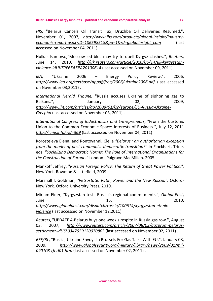*HIS*, "Belarus Cancels Oil Transit Tax; Druzhba Oil Deliveries Resumed.", November 01, 2007, *http://www.ihs.com/products/global-insight/industryeconomic-report.aspx?ID=106598518&pu=1&rd=globalinsight\_com* (last accessed on November 04, 2011) .

Hulkar Isamova.,"Moscow-led bloc may try to quell Kyrgyz clashes.", *Reuters*, June 14, 2010, *http://uk.reuters.com/article/2010/06/14/uk-kyrgyzstanviolence-idUKTRE65A5PA20100614* (last accessed on November 09, 2011) .

*IEA*, "Ukraine 2006 – Energy Policy Review.", 2006, *http://www.iea.org/textbase/nppdf/free/2006/ukraine2006.pdf* (last accessed on November 03,2011) .

*International Herald Tribune,* "Russia accuses Ukraine of siphoning gas to Balkans.", The Balkans.", January 1988, 2009, 2009, 2009, 2009, 2009, 2009, 2009, 2009, 2009, 2009, 2009, 2009, *http://www.iht.com/articles/ap/2009/01/02/europe/EU-Russia-Ukraine-Gas.php* (last accessed on November 03, 2011) .

*International Congress of Industrialists and Entrepreneurs,* "From the Customs Union to the Common Economic Space: Interests of Business.", July 12, 2011 *http://ic-ie.info/?id=369* (last accessed on November 04, 2011)

Korosteleva Elena, and Rontoyanni, Clelia *"Belarus : an authoritarian exception from the model of post-communist democratic transition?"* in Flockhart, Trine. eds. *"Socializing Democratic Norms: The Role of International Organisations for the Construction of Europe."* London . Palgrave MacMillan. 2005.

Mankoff Jeffrey, "*Russian Foreign Policy: The Return of Great Power Politics.",* New York, Rowman & Littlefield, 2009.

Marshall I. Goldman, *"Petrostate: Putin, Power and the New Russia.",* Oxford-New York. Oxford University Press, 2010.

Miriam Elder, "Kyrgyzstan tests Russia's regional commitments.", *Global Post*, June 15, 2010, *http://www.globalpost.com/dispatch/russia/100614/kyrgyzstan-ethnicviolence* (last accessed on November 12,2011) .

*Reuters*, "UPDATE 4-Belarus buys one week's respite in Russia gas row.", August 03, 2007, *http://www.reuters.com/article/2007/08/03/gazprom-belarussettlement-idUSL0347959120070803* (last accessed on November 02, 2011) .

*RFE/RL*, "Russia, Ukraine Envoys In Brussels For Gas Talks With EU.", January 08, 2009, *http://www.globalsecurity.org/military/library/news/2009/01/mil-090108-rferl01.htm* (last accessed on November 02, 2011) .